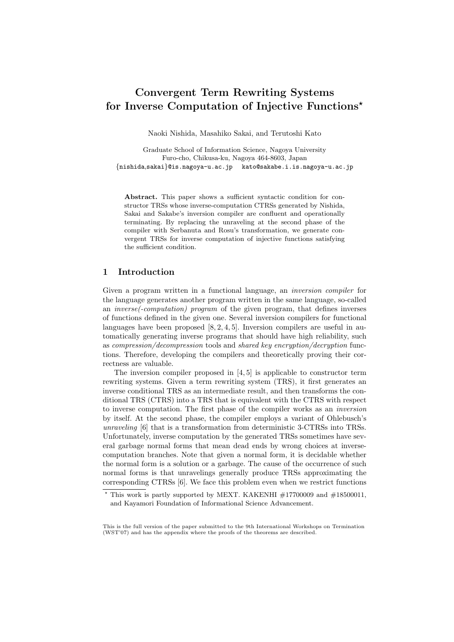# **Convergent Term Rewriting Systems for Inverse Computation of Injective Functions***?*

Naoki Nishida, Masahiko Sakai, and Terutoshi Kato

Graduate School of Information Science, Nagoya University Furo-cho, Chikusa-ku, Nagoya 464-8603, Japan *{*nishida,sakai*}*@is.nagoya-u.ac.jp kato@sakabe.i.is.nagoya-u.ac.jp

**Abstract.** This paper shows a sufficient syntactic condition for constructor TRSs whose inverse-computation CTRSs generated by Nishida, Sakai and Sakabe's inversion compiler are confluent and operationally terminating. By replacing the unraveling at the second phase of the compiler with Serbanuta and Rosu's transformation, we generate convergent TRSs for inverse computation of injective functions satisfying the sufficient condition.

## **1 Introduction**

Given a program written in a functional language, an *inversion compiler* for the language generates another program written in the same language, so-called an *inverse(-computation) program* of the given program, that defines inverses of functions defined in the given one. Several inversion compilers for functional languages have been proposed  $[8, 2, 4, 5]$ . Inversion compilers are useful in automatically generating inverse programs that should have high reliability, such as *compression/decompression* tools and *shared key encryption/decryption* functions. Therefore, developing the compilers and theoretically proving their correctness are valuable.

The inversion compiler proposed in [4, 5] is applicable to constructor term rewriting systems. Given a term rewriting system (TRS), it first generates an inverse conditional TRS as an intermediate result, and then transforms the conditional TRS (CTRS) into a TRS that is equivalent with the CTRS with respect to inverse computation. The first phase of the compiler works as an *inversion* by itself. At the second phase, the compiler employs a variant of Ohlebusch's *unraveling* [6] that is a transformation from deterministic 3-CTRSs into TRSs. Unfortunately, inverse computation by the generated TRSs sometimes have several garbage normal forms that mean dead ends by wrong choices at inversecomputation branches. Note that given a normal form, it is decidable whether the normal form is a solution or a garbage. The cause of the occurrence of such normal forms is that unravelings generally produce TRSs approximating the corresponding CTRSs [6]. We face this problem even when we restrict functions

This work is partly supported by MEXT. KAKENHI  $\#17700009$  and  $\#18500011$ , and Kayamori Foundation of Informational Science Advancement.

This is the full version of the paper submitted to the 9th International Workshops on Termination (WST'07) and has the appendix where the proofs of the theorems are described.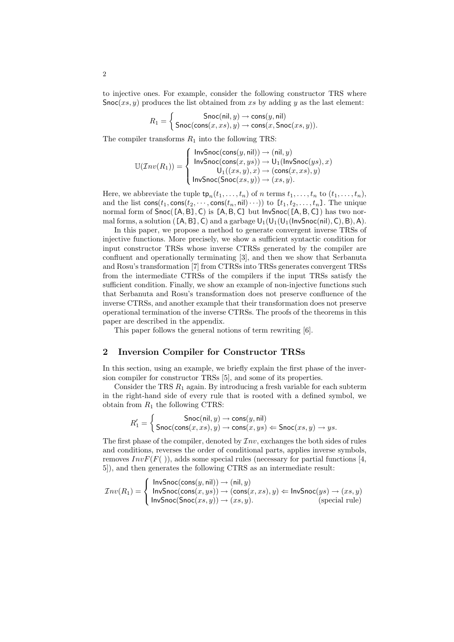to injective ones. For example, consider the following constructor TRS where Snoc(*xs, y*) produces the list obtained from *xs* by adding *y* as the last element:

$$
R_1 = \left\{ \begin{aligned} \mathsf{Snoc}(\mathsf{nil},y) &\rightarrow \mathsf{cons}(y,\mathsf{nil}) \\ \mathsf{Snoc}(\mathsf{cons}(x,xs),y) &\rightarrow \mathsf{cons}(x,\mathsf{Snoc}(xs,y)). \end{aligned} \right.
$$

The compiler transforms  $R_1$  into the following TRS:

$$
\mathbb{U}(\mathcal{I}nv(R_1)) = \left\{ \begin{array}{l} \mathsf{InvSnoc}(\mathsf{cons}(y,\mathsf{nil})) \rightarrow (\mathsf{nil},y) \\ \mathsf{InvSnoc}(\mathsf{cons}(x,ys)) \rightarrow \mathsf{U}_1(\mathsf{InvSnoc}(ys),x) \\ \mathsf{U}_1((xs,y),x) \rightarrow (\mathsf{cons}(x,xs),y) \\ \mathsf{InvSnoc}(\mathsf{Snoc}(xs,y)) \rightarrow (xs,y). \end{array} \right.
$$

Here, we abbreviate the tuple  $\text{tp}_n(t_1, \ldots, t_n)$  of *n* terms  $t_1, \ldots, t_n$  to  $(t_1, \ldots, t_n)$ , and the list  $\text{cons}(t_1, \text{cons}(t_2, \dots, \text{cons}(t_n, \text{nil}) \dots))$  to  $[t_1, t_2, \dots, t_n]$ . The unique normal form of Snoc([A*,*B]*,* C) is [A*,*B*,* C] but InvSnoc([A*,*B*,* C]) has two normal forms, a solution ( $[A, B]$ , C) and a garbage  $U_1(U_1(U_1(\text{InvSnoc(nil)}, C), B), A)$ .

In this paper, we propose a method to generate convergent inverse TRSs of injective functions. More precisely, we show a sufficient syntactic condition for input constructor TRSs whose inverse CTRSs generated by the compiler are confluent and operationally terminating [3], and then we show that Serbanuta and Rosu's transformation [7] from CTRSs into TRSs generates convergent TRSs from the intermediate CTRSs of the compilers if the input TRSs satisfy the sufficient condition. Finally, we show an example of non-injective functions such that Serbanuta and Rosu's transformation does not preserve confluence of the inverse CTRSs, and another example that their transformation does not preserve operational termination of the inverse CTRSs. The proofs of the theorems in this paper are described in the appendix.

This paper follows the general notions of term rewriting [6].

## **2 Inversion Compiler for Constructor TRSs**

In this section, using an example, we briefly explain the first phase of the inversion compiler for constructor TRSs [5], and some of its properties.

Consider the TRS *R*<sup>1</sup> again. By introducing a fresh variable for each subterm in the right-hand side of every rule that is rooted with a defined symbol, we obtain from  $R_1$  the following CTRS:

$$
R'_1 = \left\{ \begin{array}{l} {\sf{Snoc}}(\mathsf{nil},y) \rightarrow {\sf{cons}}(y,\mathsf{nil}) \\ {\sf{Snoc}}({\sf{cons}}(x,xs),y) \rightarrow {\sf{cons}}(x,ys) \Leftarrow {\sf{Snoc}}(xs,y) \rightarrow ys. \end{array} \right.
$$

The first phase of the compiler, denoted by *Inv*, exchanges the both sides of rules and conditions, reverses the order of conditional parts, applies inverse symbols, removes  $InvF(F())$ , adds some special rules (necessary for partial functions [4, 5]), and then generates the following CTRS as an intermediate result:

$$
\mathcal{I}nv(R_1)=\left\{\begin{array}{ll} \mathsf{InvSnoc}(\mathsf{cons}(y,\mathsf{nil}))\rightarrow(\mathsf{nil},y)\\ \mathsf{InvSnoc}(\mathsf{cons}(x,ys))\rightarrow(\mathsf{cons}(x, xs),y)\Leftarrow\mathsf{InvSnoc}(ys)\rightarrow(xs,y)\\ \mathsf{InvSnoc}(\mathsf{Snoc}(xs,y))\rightarrow(xs,y).\end{array}\right.
$$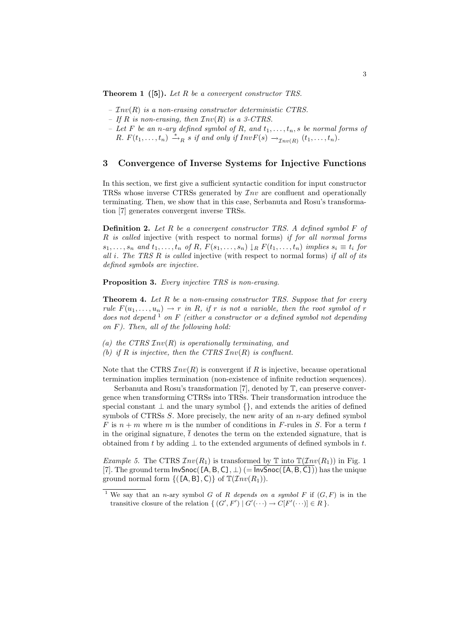**Theorem 1 ([5]).** *Let R be a convergent constructor TRS.*

- *– Inv*(*R*) *is a non-erasing constructor deterministic CTRS.*
- *If R is non-erasing, then Inv*(*R*) *is a 3-CTRS.*
- *Let*  $F$  *be an n-ary defined symbol of*  $R$ *, and*  $t_1, \ldots, t_n$ *, s be normal forms of R.*  $F(t_1, \ldots, t_n) \stackrel{*}{\rightarrow}_R s$  *if and only if*  $InvF(s) \rightarrow_{Inv(R)} (t_1, \ldots, t_n)$ .

#### **3 Convergence of Inverse Systems for Injective Functions**

In this section, we first give a sufficient syntactic condition for input constructor TRSs whose inverse CTRSs generated by *Inv* are confluent and operationally terminating. Then, we show that in this case, Serbanuta and Rosu's transformation [7] generates convergent inverse TRSs.

**Definition 2.** *Let R be a convergent constructor TRS. A defined symbol F of R is called* injective (with respect to normal forms) *if for all normal forms*  $s_1, \ldots, s_n$  and  $t_1, \ldots, t_n$  of R,  $F(s_1, \ldots, s_n) \downarrow_R F(t_1, \ldots, t_n)$  implies  $s_i \equiv t_i$  for *all i. The TRS R is called* injective (with respect to normal forms) *if all of its defined symbols are injective.*

**Proposition 3.** *Every injective TRS is non-erasing.*

**Theorem 4.** *Let R be a non-erasing constructor TRS. Suppose that for every rule*  $F(u_1, \ldots, u_n) \to r$  *in R, if r is not a variable, then the root symbol of r does not depend* <sup>1</sup> *on F (either a constructor or a defined symbol not depending on F). Then, all of the following hold:*

*(a) the CTRS Inv*(*R*) *is operationally terminating, and (b) if R is injective, then the CTRS Inv*(*R*) *is confluent.*

Note that the CTRS  $Inv(R)$  is convergent if R is injective, because operational termination implies termination (non-existence of infinite reduction sequences).

Serbanuta and Rosu's transformation [7], denoted by T, can preserve convergence when transforming CTRSs into TRSs. Their transformation introduce the special constant *⊥* and the unary symbol *{}*, and extends the arities of defined symbols of CTRSs *S*. More precisely, the new arity of an *n*-ary defined symbol  $F$  is  $n + m$  where  $m$  is the number of conditions in  $F$ -rules in  $S$ . For a term  $t$ in the original signature,  $\bar{t}$  denotes the term on the extended signature, that is obtained from *t* by adding *⊥* to the extended arguments of defined symbols in *t*.

*Example 5.* The CTRS  $Inv(R_1)$  is transformed by  $\mathbb T$  into  $\mathbb T(\mathcal{I}nv(R_1))$  in Fig. 1 [7]. The ground term  $InvSnoc([A, B, C], \perp)$  (=  $InvSnoc([A, B, C])$ ) has the unique ground normal form  $\{([A, B], C)\}\$  of  $\mathbb{T}(\mathcal{I}nv(R_1)).$ 

We say that an *n*-ary symbol *G* of *R* depends on a symbol *F* if  $(G, F)$  is in the transitive closure of the relation  $\{ (G', F') | G'(\cdots) \to C[F'(\cdots)] \in R \}$ .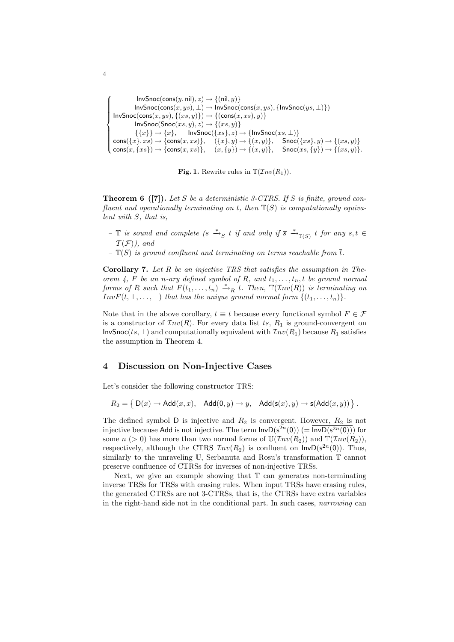```
\epsilon\overline{\phantom{a}}\overline{\phantom{a}}InvSnoc(cons(y, nil), z) \rightarrow {(nil, y)}InvSnoc(cons(x,ys), \bot) \rightarrow InvSnoc(cons(x,ys), \{InvSnoc(ys, \bot)\})InvSnoc(cons(x,ys), \{(xs, y)\}) \rightarrow \{(cons(x, xs), y)\}InvSnoc(Snoc(xs, y), z) \rightarrow \{(xs, y)\}\{\{x\}\}\rightarrow \{x\}, InvSnoc(\{xs\}, z) \rightarrow \{\textsf{InvSnoc}(xs, \bot)\}\text{cons}(\{x\}, xs) \to \{\text{cons}(x, xs)\}, \quad (\{x\}, y) \to \{(x, y)\}, \quad \text{Snoc}(\{xs\}, y) \to \{(xs, y)\}\mathsf{cons}(x,\{xs\}) \to \{\mathsf{cons}(x, xs)\}, \quad (x,\{y\}) \to \{(x,y)\}, \quad \mathsf{Snoc}(xs,\{y\}) \to \{(xs,y)\}.
```


**Theorem 6 ([7]).** *Let S be a deterministic 3-CTRS. If S is finite, ground confluent and operationally terminating on t, then* T(*S*) *is computationally equivalent with S, that is,*

- *−*  $\mathbb{T}$  *is sound and complete (s*  $\stackrel{*}{\to}_{S}$  *t if and only if*  $\overline{s}$   $\stackrel{*}{\to}_{\mathbb{T}(S)}$   $\overline{t}$  *for any s,t* ∈  $\mathcal{T}(\mathcal{F})$ *)*, and
- $-\mathbb{T}(S)$  *is ground confluent and terminating on terms reachable from*  $\overline{t}$ *.*

**Corollary 7.** *Let R be an injective TRS that satisfies the assumption in Theorem 4,*  $F$  *be an n-ary defined symbol of*  $R$ *, and*  $t_1, \ldots, t_n$ *, t be ground normal forms of R such that*  $F(t_1, \ldots, t_n) \stackrel{*}{\rightarrow}_R t$ . Then,  $\mathbb{T}(Inv(R))$  *is terminating on*  $InvF(t, \perp, \ldots, \perp)$  *that has the unique ground normal form*  $\{(t_1, \ldots, t_n)\}.$ 

Note that in the above corollary,  $\bar{t} \equiv t$  because every functional symbol  $F \in \mathcal{F}$ is a constructor of  $Inv(R)$ . For every data list *ts*,  $R_1$  is ground-convergent on InvSnoc(*ts, ⊥*) and computationally equivalent with *Inv*(*R*1) because *R*<sup>1</sup> satisfies the assumption in Theorem 4.

### **4 Discussion on Non-Injective Cases**

Let's consider the following constructor TRS:

$$
R_2 = \left\{ D(x) \to \mathrm{Add}(x, x), \mathrm{Add}(0, y) \to y, \mathrm{Add}(\mathsf{s}(x), y) \to \mathsf{s}(\mathrm{Add}(x, y)) \right\}.
$$

The defined symbol  $D$  is injective and  $R_2$  is convergent. However,  $R_2$  is not injective because Add is not injective. The term  $\textsf{InvD}(s^{2n}(0))$  (=  $\overline{\textsf{InvD}(s^{2n}(0))}$ ) for some  $n > 0$  has more than two normal forms of  $\mathbb{U}(\mathcal{I}nv(R_2))$  and  $\mathbb{T}(\mathcal{I}nv(R_2))$ , respectively, although the CTRS  $Inv(R_2)$  is confluent on  $InvD(s^{2n}(0))$ . Thus, similarly to the unraveling U, Serbanuta and Rosu's transformation T cannot preserve confluence of CTRSs for inverses of non-injective TRSs.

Next, we give an example showing that  $T$  can generates non-terminating inverse TRSs for TRSs with erasing rules. When input TRSs have erasing rules, the generated CTRSs are not 3-CTRSs, that is, the CTRSs have extra variables in the right-hand side not in the conditional part. In such cases, *narrowing* can

4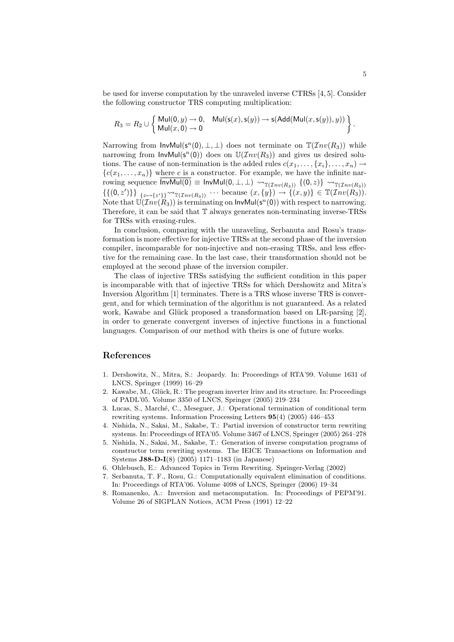be used for inverse computation by the unraveled inverse CTRSs [4, 5]. Consider the following constructor TRS computing multiplication:

$$
R_3=R_2\cup \left\{\begin{array}{ll}\mathsf{Mul}(0,y)\to 0, & \mathsf{Mul}(\mathsf{s}(x),\mathsf{s}(y))\to \mathsf{s}(\mathsf{Add}(\mathsf{Mul}(x,\mathsf{s}(y)),y))\\ \mathsf{Mul}(x,0)\to 0\end{array}\right\}.
$$

Narrowing from  $InvMul(s^n(0), \perp, \perp)$  does not terminate on  $\mathbb{T}(\mathcal{I}nv(R_3))$  while narrowing from  $InvMul(s^n(0))$  does on  $U(\mathcal{I}nv(R_3))$  and gives us desired solutions. The cause of non-termination is the added rules  $c(x_1, \ldots, \{x_i\}, \ldots, x_n) \rightarrow$  ${c(x_1, \ldots, x_n)}$  where *c* is a constructor. For example, we have the infinite narrowing sequence  $\overline{\text{InvMul}(0)} \equiv \text{InvMul}(0, \perp, \perp) \rightsquigarrow_{\mathbb{T}(\mathcal{I}nv(R_3))} \{ (0, z) \} \rightsquigarrow_{\mathbb{T}(\mathcal{I}nv(R_3))}$  $\{\{(0, z')\}\}\}$ <sub> $\{\overline{z}\mapsto\{z'\}\}\sim_{\mathbb{T}(Inv(R_3))}\cdots$  because  $(x, \{y\}) \to \{(x, y)\}\in \mathbb{T}(Inv(R_3)).$ </sub> Note that  $\mathbb{U}(\mathcal{I}nv(\hat{R}_3))$  is terminating on  $\mathsf{InvMul}(\mathsf{s}^n(0))$  with respect to narrowing. Therefore, it can be said that T always generates non-terminating inverse-TRSs for TRSs with erasing-rules.

In conclusion, comparing with the unraveling, Serbanuta and Rosu's transformation is more effective for injective TRSs at the second phase of the inversion compiler, incomparable for non-injective and non-erasing TRSs, and less effective for the remaining case. In the last case, their transformation should not be employed at the second phase of the inversion compiler.

The class of injective TRSs satisfying the sufficient condition in this paper is incomparable with that of injective TRSs for which Dershowitz and Mitra's Inversion Algorithm [1] terminates. There is a TRS whose inverse TRS is convergent, and for which termination of the algorithm is not guaranteed. As a related work, Kawabe and Glück proposed a transformation based on  $LR$ -parsing [2], in order to generate convergent inverses of injective functions in a functional languages. Comparison of our method with theirs is one of future works.

#### **References**

- 1. Dershowitz, N., Mitra, S.: Jeopardy. In: Proceedings of RTA'99. Volume 1631 of LNCS, Springer (1999) 16–29
- 2. Kawabe, M., Glück, R.: The program inverter lriny and its structure. In: Proceedings of PADL'05. Volume 3350 of LNCS, Springer (2005) 219–234
- 3. Lucas, S., March´e, C., Meseguer, J.: Operational termination of conditional term rewriting systems. Information Processing Letters **95**(4) (2005) 446–453
- 4. Nishida, N., Sakai, M., Sakabe, T.: Partial inversion of constructor term rewriting systems. In: Proceedings of RTA'05. Volume 3467 of LNCS, Springer (2005) 264–278
- 5. Nishida, N., Sakai, M., Sakabe, T.: Generation of inverse computation programs of constructor term rewriting systems. The IEICE Transactions on Information and Systems **J88-D-I**(8) (2005) 1171–1183 (in Japanese)
- 6. Ohlebusch, E.: Advanced Topics in Term Rewriting. Springer-Verlag (2002)
- 7. Serbanuta, T. F., Rosu, G.: Computationally equivalent elimination of conditions. In: Proceedings of RTA'06. Volume 4098 of LNCS, Springer (2006) 19–34
- 8. Romanenko, A.: Inversion and metacomputation. In: Proceedings of PEPM'91. Volume 26 of SIGPLAN Notices, ACM Press (1991) 12–22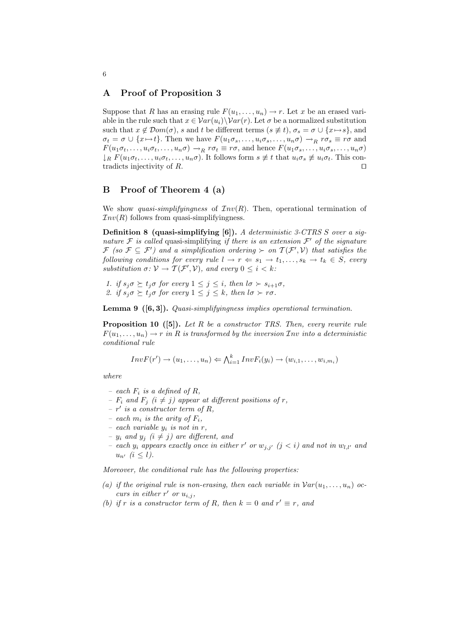#### **A Proof of Proposition 3**

Suppose that *R* has an erasing rule  $F(u_1, \ldots, u_n) \to r$ . Let *x* be an erased variable in the rule such that  $x \in Var(u_i) \setminus Var(r)$ . Let  $\sigma$  be a normalized substitution such that  $x \notin \mathcal{D}$ *om*( $\sigma$ ), *s* and *t* be different terms ( $s \not\equiv t$ ),  $\sigma_s = \sigma \cup \{x \mapsto s\}$ , and  $\sigma_t = \sigma \cup \{x \mapsto t\}.$  Then we have  $F(u_1 \sigma_s, \ldots, u_i \sigma_s, \ldots, u_n \sigma) \rightarrow_R r \sigma_s \equiv r \sigma$  and  $F(u_1\sigma_t,\ldots,u_i\sigma_t,\ldots,u_n\sigma) \to_R r\sigma_t \equiv r\sigma$ , and hence  $F(u_1\sigma_s,\ldots,u_i\sigma_s,\ldots,u_n\sigma)$  $\downarrow_R F(u_1\sigma_t,\ldots,u_i\sigma_t,\ldots,u_n\sigma)$ . It follows form  $s \not\equiv t$  that  $u_i\sigma_s \not\equiv u_i\sigma_t$ . This contradicts injectivity of  $R$ .

### **B Proof of Theorem 4 (a)**

We show *quasi-simplifyingness* of  $Inv(R)$ . Then, operational termination of  $Inv(R)$  follows from quasi-simplifyingness.

**Definition 8 (quasi-simplifying [6]).** *A deterministic 3-CTRS S over a signature*  $F$  *is called* quasi-simplifying *if there is an extension*  $F'$  *of the signature*  $\mathcal{F}$  (so  $\mathcal{F} \subseteq \mathcal{F}'$ ) and a simplification ordering  $\succ$  on  $\mathcal{T}(\mathcal{F}',\mathcal{V})$  that satisfies the *following conditions for every rule*  $l \rightarrow r \Leftarrow s_1 \rightarrow t_1, \ldots, s_k \rightarrow t_k \in S$ , every *substitution*  $\sigma: \mathcal{V} \to \mathcal{T}(\mathcal{F}', \mathcal{V})$ *, and every*  $0 \leq i \leq k$ *:* 

1. if  $s_j \sigma \succeq t_j \sigma$  for every  $1 \leq j \leq i$ , then  $l \sigma \succ s_{i+1} \sigma$ , 2. if  $s_j \sigma \succeq t_j \sigma$  for every  $1 \leq j \leq k$ , then  $l \sigma \succ r \sigma$ .

**Lemma 9 ([6, 3]).** *Quasi-simplifyingness implies operational termination.*

**Proposition 10 ([5]).** *Let R be a constructor TRS. Then, every rewrite rule*  $F(u_1, \ldots, u_n) \to r$  *in R is transformed by the inversion*  $\mathcal{I}$ *nv into a deterministic conditional rule*

$$
InvF(r') \rightarrow (u_1, \ldots, u_n) \Leftarrow \bigwedge_{i=1}^k InvF_i(y_i) \rightarrow (w_{i,1}, \ldots, w_{i,m_i})
$$

*where*

- $-$  *each*  $F_i$  *is a defined of*  $R_i$ ,
- *–*  $F_i$  and  $F_j$   $(i \neq j)$  appear at different positions of *r*,
- $r'$  *is a constructor term of*  $R$ *,*
- *each*  $m_i$  *is the arity of*  $F_i$ ,
- *each variable y<sup>i</sup> is not in r,*
- *–*  $y_i$  and  $y_j$  ( $i \neq j$ ) are different, and
- *each*  $y_i$  appears exactly once in either  $r'$  or  $w_{j,j'}$   $(j < i)$  and not in  $w_{l,l'}$  and  $u_{n'}$   $(i \leq l)$ .

*Moreover, the conditional rule has the following properties:*

- (a) if the original rule is non-erasing, then each variable in  $Var(u_1, \ldots, u_n)$  oc*curs in either*  $r'$  *or*  $u_{i,j}$ ,
- *(b)* if *r* is a constructor term of *R*, then  $k = 0$  and  $r' \equiv r$ , and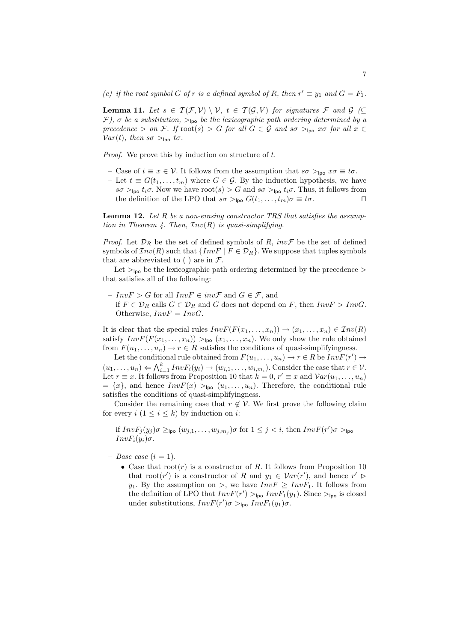*(c) if the root symbol G of r is a defined symbol of R, then*  $r' \equiv y_1$  *and*  $G = F_1$ *.* 

**Lemma 11.** Let  $s \in \mathcal{T}(\mathcal{F}, \mathcal{V}) \setminus \mathcal{V}, t \in \mathcal{T}(\mathcal{G}, \mathcal{V})$  for signatures  $\mathcal{F}$  and  $\mathcal{G}$  ( $\subseteq$ *F), σ be a substitution, >*lpo *be the lexicographic path ordering determined by a precedence* > *on F. If*  $\text{root}(s) > G$  *for all*  $G \in \mathcal{G}$  *and*  $s\sigma >_{\text{Ipo}} x\sigma$  *for all*  $x \in$  $Var(t)$ *, then*  $s\sigma >_{\text{loo}} t\sigma$ *.* 

*Proof.* We prove this by induction on structure of *t*.

- Case of *t ≡ x ∈ V*. It follows from the assumption that *sσ >*lpo *xσ ≡ tσ*.
- Let  $t \equiv G(t_1, \ldots, t_m)$  where  $G \in \mathcal{G}$ . By the induction hypothesis, we have  $s\sigma >_{\text{Ipo}} t_i\sigma$ . Now we have root(*s*)  $> G$  and  $s\sigma >_{\text{Ipo}} t_i\sigma$ . Thus, it follows from the definition of the LPO that  $s\sigma >_{\text{Ipo}} G(t_1, \ldots, t_m)\sigma \equiv t\sigma$ .

**Lemma 12.** *Let R be a non-erasing constructor TRS that satisfies the assumption in Theorem 4. Then, Inv*(*R*) *is quasi-simplifying.*

*Proof.* Let  $\mathcal{D}_R$  be the set of defined symbols of *R*, *invF* be the set of defined symbols of  $Inv(R)$  such that  ${InvF | F \in \mathcal{D}_R}$ . We suppose that tuples symbols that are abbreviated to ( ) are in *F*.

Let *>*lpo be the lexicographic path ordering determined by the precedence *>* that satisfies all of the following:

- *InvF > G* for all *InvF ∈ invF* and *G ∈ F*, and
- if *F ∈ D<sup>R</sup>* calls *G ∈ D<sup>R</sup>* and *G* does not depend on *F*, then *InvF > InvG*. Otherwise,  $InvF = InvG$ .

It is clear that the special rules  $InvF(F(x_1, \ldots, x_n)) \to (x_1, \ldots, x_n) \in Inv(R)$ satisfy  $InvF(F(x_1, \ldots, x_n)) >_{\text{Ipo}} (x_1, \ldots, x_n)$ . We only show the rule obtained from  $F(u_1, \ldots, u_n) \to r \in R$  satisfies the conditions of quasi-simplifyingness.

Let the conditional rule obtained from  $F(u_1, \ldots, u_n) \to r \in R$  be  $InvF(r') \to$  $(u_1, \ldots, u_n) \Leftarrow \bigwedge_{i=1}^k InvF_i(y_i) \rightarrow (w_{i,1}, \ldots, w_{i,m_i})$ . Consider the case that  $r \in V$ . Let  $r \equiv x$ . It follows from Proposition 10 that  $k = 0, r' \equiv x$  and  $Var(u_1, \ldots, u_n)$  $= \{x\}$ , and hence  $InvF(x) >_{\text{Ipo}} (u_1, \ldots, u_n)$ . Therefore, the conditional rule satisfies the conditions of quasi-simplifyingness.

Consider the remaining case that  $r \notin V$ . We first prove the following claim for every  $i$   $(1 \leq i \leq k)$  by induction on *i*:

if  $InvF_j(y_j)\sigma \geq_{\textsf{Ipo}} (w_{j,1}, \ldots, w_{j,m_j})\sigma \text{ for } 1 \leq j < i \text{, then } InvF(r')\sigma >_{\textsf{Ipo}}$ *InvF<sub><i>i*</sub>( $y_i$ ) $\sigma$ .

- $-$  *Base case* (*i* = 1).
	- *•* Case that root(*r*) is a constructor of *R*. It follows from Proposition 10 that root(*r'*) is a constructor of *R* and  $y_1 \in \mathcal{V}ar(r')$ , and hence  $r' \geq$ *y*<sub>1</sub>. By the assumption on *>*, we have  $InvF \geq InvF_1$ . It follows from the definition of LPO that  $InvF(r') >_{\text{Ipo}} InvF_1(y_1)$ . Since  $>_{\text{Ipo}}$  is closed under substitutions,  $InvF(r')\sigma >_{\text{Ipo}} InvF_1(y_1)\sigma$ .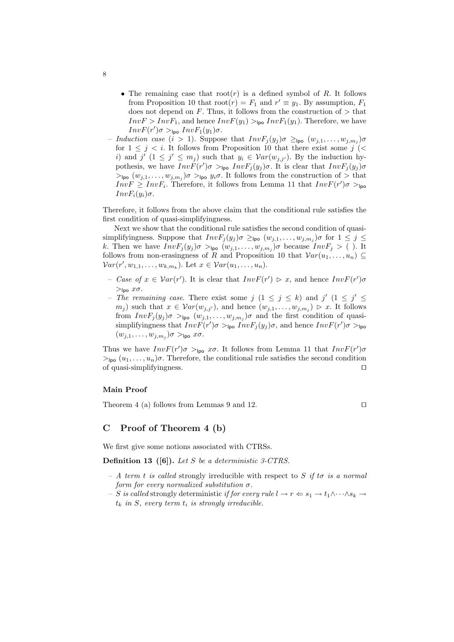- *•* The remaining case that root(*r*) is a defined symbol of *R*. It follows from Proposition 10 that  $\text{root}(r) = F_1$  and  $r' \equiv y_1$ . By assumption,  $F_1$ does not depend on *F*. Thus, it follows from the construction of *>* that  $InvF > InvF_1$ , and hence  $InvF(y_1) >_{\text{loo}} InvF_1(y_1)$ . Therefore, we have  $InvF(r')\sigma >_{\text{lpo}} InvF_1(y_1)\sigma.$
- $-$  *Induction case* (*i*  $> 1$ ). Suppose that  $InvF_j(y_j)\sigma \geq_{\mathsf{Ipo}} (w_{j,1}, \ldots, w_{j,m_j})\sigma$ for  $1 \leq j \leq i$ . It follows from Proposition 10 that there exist some  $j$  (< *i*) and *j*<sup> $\prime$ </sup>  $(1 \leq j' \leq m_j)$  such that  $y_i \in \mathcal{V}ar(w_{j,j'})$ . By the induction hypothesis, we have  $InvF(r')\sigma >_{\text{Ipo}} InvF_j(y_j)\sigma$ . It is clear that  $InvF_j(y_j)\sigma$  $>$ <sub>lpo</sub>  $(w_{j,1},...,w_{j,m_j})\sigma >$ <sub>lpo</sub>  $y_i\sigma$ . It follows from the construction of  $>$  that  $InvF \geq InvF_i$ . Therefore, it follows from Lemma 11 that  $InvF(r')\sigma >_{\text{Ipo}}$ *InvF<sub><i>i*</sub>( $y_i$ ) $\sigma$ .

Therefore, it follows from the above claim that the conditional rule satisfies the first condition of quasi-simplifyingness.

Next we show that the conditional rule satisfies the second condition of quasi- $\sup$  simplifyingness. Suppose that  $InvF_j(y_j)\sigma \geq_{\text{Ipo}} (w_{j,1}, \ldots, w_{j,m_j})\sigma$  for  $1 \leq j \leq$ *k*. Then we have  $InvF_j(y_j)\sigma >_{\text{Ipo}} (w_{j,1}, \ldots, w_{j,m_j})\sigma$  because  $InvF_j > ($ ). It follows from non-erasingness of *R* and Proposition 10 that  $Var(u_1, \ldots, u_n) \subseteq$  $Var(r', w_{1,1}, \ldots, w_{k,m_k})$ . Let  $x \in Var(u_1, \ldots, u_n)$ .

- *Case of*  $x \in Var(r')$ . It is clear that  $InvF(r') \ge x$ , and hence  $InvF(r')\sigma$  $>$ lpo  $x\sigma$ .
- $-$  *The remaining case.* There exist some  $j$   $(1 \leq j \leq k)$  and  $j'$   $(1 \leq j' \leq k)$  $m_j$  ) such that  $x \in \mathcal{V}ar(w_{j,j'})$ , and hence  $(w_{j,1}, \ldots, w_{j,m_j}) \geq x$ . It follows from  $InvF_j(y_j)\sigma >_{\text{Ipo}} (w_{j,1}, \ldots, w_{j,m_j})\sigma$  and the first condition of quasisimplifyingness that  $InvF(r')\sigma >_{\text{Ipo}} \text{Inv}F_j(y_j)\sigma$ , and hence  $InvF(r')\sigma >_{\text{Ipo}}$  $(w_{j,1}, \ldots, w_{j,m_j})\sigma >_{\mathsf{Ipo}} x\sigma.$

Thus we have  $InvF(r')\sigma >_{\text{Ipo}} x\sigma$ . It follows from Lemma 11 that  $InvF(r')\sigma$  $>_{\text{Ipo}} (u_1, \ldots, u_n)\sigma$ . Therefore, the conditional rule satisfies the second condition of quasi-simplifyingness. *ut*

#### **Main Proof**

Theorem 4 (a) follows from Lemmas 9 and 12.  $\Box$ 

### **C Proof of Theorem 4 (b)**

We first give some notions associated with CTRSs.

**Definition 13 ([6]).** *Let S be a deterministic 3-CTRS.*

- *A term t is called* strongly irreducible with respect to *S if tσ is a normal form for every normalized substitution σ.*
- *– S is called* strongly deterministic *if for every rule*  $l \rightarrow r \Leftarrow s_1 \rightarrow t_1 \land \cdots \land s_k \rightarrow$  $t_k$  *in S, every term*  $t_i$  *is strongly irreducible.*